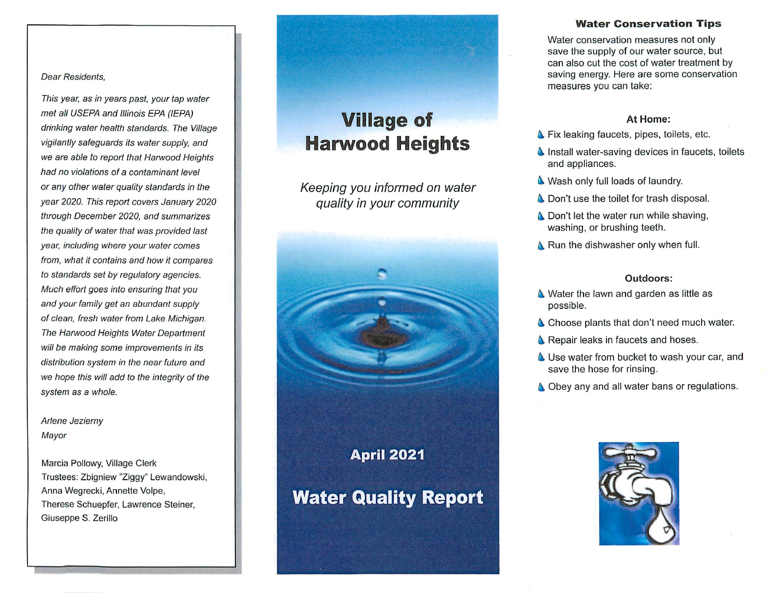## **Dear Residents,**

**This year, as in years past, your tap water met all USEPA and Illinois EPA (IEPA) drinking water health standards. The Village vigilantly safeguards its water supply, and we are able to report that Harwood Heights had no violations of a contaminant level or any other water quality standards in the year 2020. This report covers January 2020 through December 2020, and summarizes the quality of water that was provided last year, including where your water comes from, what it contains and how it compares to standards set by regulatory agencies. Much effort goes into ensuring that you and your family get an abundant supply of clean, fresh water from Lake Michigan. The Harwood Heights Water Department will be making some improvements in its distribution system in the near future and we hope this willadd to the integrity of the system as a whole.**

## **Arlene Jezierny Mayor**

Marcia Pollowy, Village Clerk Trustees: Zbigniew "Ziggy" Lewandowski, Anna Wegrecki, Annette Volpe, Therese Schuepfer, Lawrence Steiner, Giuseppe S. Zerillo

# *Village of Harwood Heights*

**Keeping you informed on water quality in your community**



## *Water Conservation Tips*

Water conservation measures not only save the supply of our water source, but can also cut the cost of water treatment by saving energy. Here are some conservation measures you can take:

## At Home:

- **A** Fix leaking faucets, pipes, toilets, etc.
- **A** Install water-saving devices in faucets, toilets and appliances.
- **A** Wash only full loads of laundry.
- **A** Don't use the toilet for trash disposal.
- **A** Don't let the water run while shaving, washing, or brushing teeth.
- **A** Run the dishwasher only when full.

## Outdoors:

- **A** Water the lawn and garden as little as possible.
- **A** Choose plants that don't need much water.
- **A** Repair leaks in faucets and hoses.
- **A** Use water from bucket to wash your car, and save the hose for rinsing.
- **A** Obey any and all water bans or regulations.

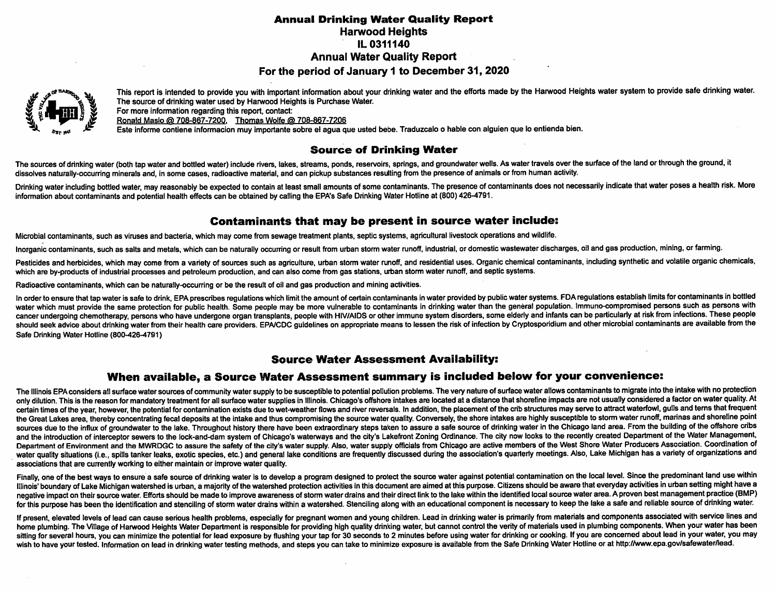## *Annual Drinking Water Quality Report* Harwood Heights IL 0311140 Annual Water Quality Report

## For the period of January 1 to December 31, 2020



This report is intended to provide you with important information about your drinking water and the efforts made by the Harwood Heights water system to provide safe drinking water. *The source of drinking water used by Harwood Heights is Purchase Water.*

*For more information regarding this report, contact: Ronald Maslo (5) 708-867-7200. Thomas Wolfe (5) 708-867-7208*

Este informe contiene informacion muy importante sobre el agua que usted bebe. Traduzcalo o hable con alguien que lo entienda bien.

## *Source of Drinking Water*

The sources of drinking water (both tap water and bottled water) include rivers, lakes, streams, ponds, reservoirs, springs, and groundwater wells. As water travels over the surface of the land or through the ground, it dissolves naturally-occurring minerals and, in some cases, radioactive material, and can pickup substances resulting from the presence of animals or from human activity.

Drinking water including bottled water, may reasonably be expected to contain at least small amounts of some contaminants. The presence of contaminants does not necessarily indicate that water poses a health risk. More information about contaminants and potential health effects can be obtained by calling the EPA's Safe Drinking Water Hotline at (800) 426-4791.

## *Contaminants that may be present in source water include:*

Microbial contaminants, such as viruses and bacteria, which may come from sewage treatment plants, septic systems, agricultural livestock operations and wildlife.

Inorganic contaminants, such as salts and metals, which can be naturally occurring or result from urban storm water runoff, industrial, or domestic wastewater discharges, oil and gas production, mining, or farming.

Pesticides and herbicides, which may come from a variety of sources such as agriculture, urban storm water runoff, and residential uses. Organic chemical contaminants, including synthetic and volatile organic chemicals, which are by-products of industrial processes and petroleum production, and can also come from gas stations, urban storm water runoff, and septic systems.

*Radioactive contaminants, which can be naturally-occurring or be the result of oil and gas production and mining activities.*

In order to ensure that tap water is safe to drink, EPA prescribes regulations which limit the amount of certain contaminants in water provided by public water systems. FDA regulations establish limits for contaminants in cancer undergoing chemotherapy, persons who have undergone organ transplants, people with HIV/AIDS or other immune system disorders, some elderly and infants can be particularly at risk from infections. These people should seek advice about drinking water from their health care providers. EPA/CDC guidelines on appropriate means to lessen the risk of infection by Cryptosporidium and other microbial contaminants are available from the *Safe Drinking Water Hotline (800-426-4791)*

## *Source Water Assessment Availability:*

## *When available, a Source Water Assessment summary is included below for your convenience:*

The Illinois EPA considers all surface water sources of community water supply to be susceptible to potential pollution problems. The very nature of surface water allows contaminants to migrate into the intake with no prot only dilution. This is the reason for mandatory treatment for all surface water supplies in Illinois. Chicago's offshore intakes are located at a distance that shoreline impacts are not usually considered a factor on water certain times of the year, however, the potential for contamination exists due to wet-weather flows and river reversals. In addition, the placement of the crib structures may serve to attract waterfowl, gulls and terns tha the Great Lakes area, thereby concentrating fecal deposits at the intake and thus compromising the source water quality. Conversely, the shore intakes are highly susceptible to storm water runoff, marinas and shoreline poi sources due to the influx of groundwater to the lake. Throughout history there have been extraordinary steps taken to assure a safe source of drinking water in the Chicago land area. From the building of the offshore cribs and the introduction of interceptor sewers to the lock-and-dam system of Chicago's waterways and the city's Lakefront Zoning Ordinance. The city now looks to the recently created Department of the Water Management, Department of Environment and the MWRDGC to assure the safety of the city's water supply. Also, water supply officials from Chicago are active members of the West Shore Water Producers Association. Coordination of water quality situations (i.e., spills tanker leaks, exotic species, etc.) and general lake conditions are frequently discussed during the association's quarterly meetings. Also, Lake Michigan has a variety of organization *associations that are currently working to either maintain or improve water quality.*

Finally, one of the best ways to ensure a safe source of drinking water is to develop a program designed to protect the source water against potential contamination on the local level. Since the predominant land use within Illinois' boundary of Lake Michigan watershed is urban, a majority of the watershed protection activities in this document are aimed at this purpose. Citizens should be aware that everyday activities in urban setting might negative impact on their source water. Efforts should be made to improve awareness of storm water drains and their direct link to the lake within the identified local source water area. A proven best management practice (B for this purpose has been the identification and stenciling of storm water drains within a watershed. Stenciling along with an educational component is necessary to keep the lake a safe and reliable source of drinking wate

If present, elevated levels of lead can cause serious health problems, especially for pregnant women and young children. Lead in drinking water is primarily from materials and components associated with service lines and home plumbing. The Village of Harwood Heights Water Department is responsible for providing high quality drinking water, but cannot control the verity of materials used in plumbing components. When your water has been sitting for several hours, you can minimize the potential for lead exposure by flushing your tap for 30 seconds to 2 minutes before using water for drinking or cooking. If you are concerned about lead in your water, you ma wish to have your tested. Information on lead in drinking water testing methods, and steps you can take to minimize exposure is available from the Safe Drinking Water Hotline or at http://www.epa.gov/safewater/lead.